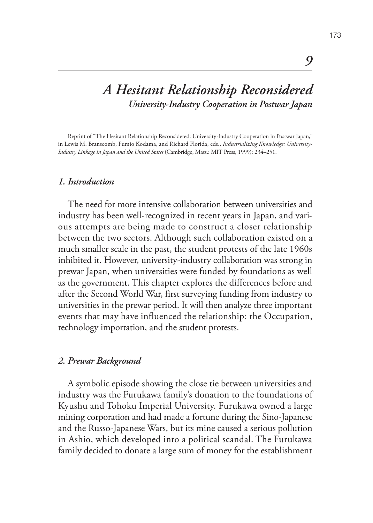# *A Hesitant Relationship Reconsidered University-Industry Cooperation in Postwar Japan*

Reprint of "The Hesitant Relationship Reconsidered: University-Industry Cooperation in Postwar Japan," in Lewis M. Branscomb, Fumio Kodama, and Richard Florida, eds., *Industrializing Knowledge: University-Industry Linkage in Japan and the United States* (Cambridge, Mass.: MIT Press, 1999): 234–251.

#### *1. Introduction*

The need for more intensive collaboration between universities and industry has been well-recognized in recent years in Japan, and various attempts are being made to construct a closer relationship between the two sectors. Although such collaboration existed on a much smaller scale in the past, the student protests of the late 1960s inhibited it. However, university-industry collaboration was strong in prewar Japan, when universities were funded by foundations as well as the government. This chapter explores the differences before and after the Second World War, first surveying funding from industry to universities in the prewar period. It will then analyze three important events that may have influenced the relationship: the Occupation, technology importation, and the student protests.

#### *2. Prewar Background*

A symbolic episode showing the close tie between universities and industry was the Furukawa family's donation to the foundations of Kyushu and Tohoku Imperial University. Furukawa owned a large mining corporation and had made a fortune during the Sino-Japanese and the Russo-Japanese Wars, but its mine caused a serious pollution in Ashio, which developed into a political scandal. The Furukawa family decided to donate a large sum of money for the establishment

*9*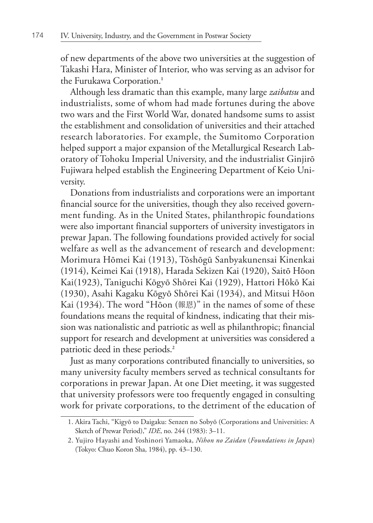of new departments of the above two universities at the suggestion of Takashi Hara, Minister of Interior, who was serving as an advisor for the Furukawa Corporation.**<sup>1</sup>**

Although less dramatic than this example, many large *zaibatsu* and industrialists, some of whom had made fortunes during the above two wars and the First World War, donated handsome sums to assist the establishment and consolidation of universities and their attached research laboratories. For example, the Sumitomo Corporation helped support a major expansion of the Metallurgical Research Laboratory of Tohoku Imperial University, and the industrialist Ginjirō Fujiwara helped establish the Engineering Department of Keio University.

Donations from industrialists and corporations were an important financial source for the universities, though they also received government funding. As in the United States, philanthropic foundations were also important financial supporters of university investigators in prewar Japan. The following foundations provided actively for social welfare as well as the advancement of research and development: Morimura Hōmei Kai (1913), Tōshōgū Sanbyakunensai Kinenkai (1914), Keimei Kai (1918), Harada Sekizen Kai (1920), Saitō Hōon Kai(1923), Taniguchi Kōgyō Shōrei Kai (1929), Hattori Hōkō Kai (1930), Asahi Kagaku Kōgyō Shōrei Kai (1934), and Mitsui Hōon Kai (1934). The word "Hōon (報恩)" in the names of some of these foundations means the requital of kindness, indicating that their mission was nationalistic and patriotic as well as philanthropic; financial support for research and development at universities was considered a patriotic deed in these periods.**<sup>2</sup>**

Just as many corporations contributed financially to universities, so many university faculty members served as technical consultants for corporations in prewar Japan. At one Diet meeting, it was suggested that university professors were too frequently engaged in consulting work for private corporations, to the detriment of the education of

<sup>1.</sup> Akira Tachi, "Kigyō to Daigaku: Senzen no Sobyō (Corporations and Universities: A Sketch of Prewar Period)," *IDE*, no. 244 (1983): 3–11.

<sup>2.</sup> Yujiro Hayashi and Yoshinori Yamaoka, *Nihon no Zaidan* (*Foundations in Japan*) (Tokyo: Chuo Koron Sha, 1984), pp. 43–130.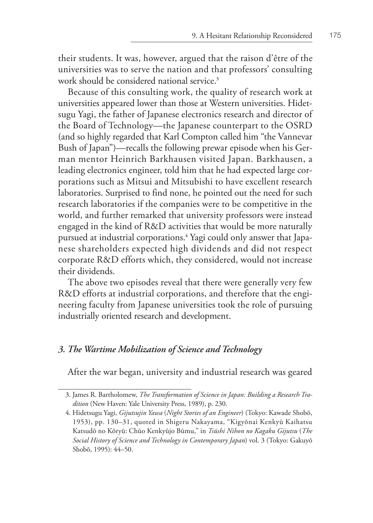their students. It was, however, argued that the raison d'être of the universities was to serve the nation and that professors' consulting work should be considered national service.**<sup>3</sup>**

Because of this consulting work, the quality of research work at universities appeared lower than those at Western universities. Hidetsugu Yagi, the father of Japanese electronics research and director of the Board of Technology—the Japanese counterpart to the OSRD (and so highly regarded that Karl Compton called him "the Vannevar Bush of Japan")—recalls the following prewar episode when his German mentor Heinrich Barkhausen visited Japan. Barkhausen, a leading electronics engineer, told him that he had expected large corporations such as Mitsui and Mitsubishi to have excellent research laboratories. Surprised to find none, he pointed out the need for such research laboratories if the companies were to be competitive in the world, and further remarked that university professors were instead engaged in the kind of R&D activities that would be more naturally pursued at industrial corporations.**<sup>4</sup>** Yagi could only answer that Japanese shareholders expected high dividends and did not respect corporate R&D efforts which, they considered, would not increase their dividends.

The above two episodes reveal that there were generally very few R&D efforts at industrial corporations, and therefore that the engineering faculty from Japanese universities took the role of pursuing industrially oriented research and development.

## *3. The Wartime Mobilization of Science and Technology*

After the war began, university and industrial research was geared

<sup>3.</sup> James R. Bartholomew, *The Transformation of Science in Japan: Building a Research Tradition* (New Haven: Yale University Press, 1989), p. 230.

<sup>4.</sup> Hidetsugu Yagi, *Gijutsujin Yawa* (*Night Stories of an Engineer*) (Tokyo: Kawade Shobō, 1953), pp. 130–31, quoted in Shigeru Nakayama, "Kigyōnai Kenkyū Kaihatsu Katsudō no Kōryū: Chūo Kenkyūjo Būmu," in *Tsūshi Nihon no Kagaku Gijutsu* (*The Social History of Science and Technology in Contemporary Japan*) vol. 3 (Tokyo: Gakuyō Shobō, 1995): 44–50.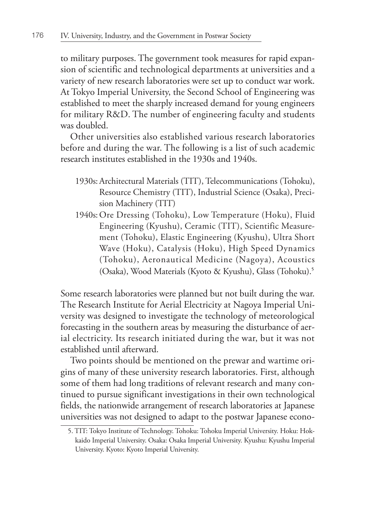to military purposes. The government took measures for rapid expansion of scientific and technological departments at universities and a variety of new research laboratories were set up to conduct war work. At Tokyo Imperial University, the Second School of Engineering was established to meet the sharply increased demand for young engineers for military R&D. The number of engineering faculty and students was doubled.

Other universities also established various research laboratories before and during the war. The following is a list of such academic research institutes established in the 1930s and 1940s.

- 1930s:Architectural Materials (TIT), Telecommunications (Tohoku), Resource Chemistry (TIT), Industrial Science (Osaka), Precision Machinery (TIT)
- 1940s:Ore Dressing (Tohoku), Low Temperature (Hoku), Fluid Engineering (Kyushu), Ceramic (TIT), Scientific Measurement (Tohoku), Elastic Engineering (Kyushu), Ultra Short Wave (Hoku), Catalysis (Hoku), High Speed Dynamics (Tohoku), Aeronautical Medicine (Nagoya), Acoustics (Osaka), Wood Materials (Kyoto & Kyushu), Glass (Tohoku).**<sup>5</sup>**

Some research laboratories were planned but not built during the war. The Research Institute for Aerial Electricity at Nagoya Imperial University was designed to investigate the technology of meteorological forecasting in the southern areas by measuring the disturbance of aerial electricity. Its research initiated during the war, but it was not established until afterward.

Two points should be mentioned on the prewar and wartime origins of many of these university research laboratories. First, although some of them had long traditions of relevant research and many continued to pursue significant investigations in their own technological fields, the nationwide arrangement of research laboratories at Japanese universities was not designed to adapt to the postwar Japanese econo-

<sup>5.</sup> TIT: Tokyo Institute of Technology. Tohoku: Tohoku Imperial University. Hoku: Hokkaido Imperial University. Osaka: Osaka Imperial University. Kyushu: Kyushu Imperial University. Kyoto: Kyoto Imperial University.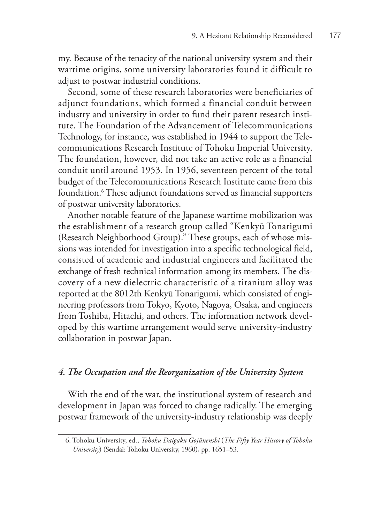my. Because of the tenacity of the national university system and their wartime origins, some university laboratories found it difficult to adjust to postwar industrial conditions.

Second, some of these research laboratories were beneficiaries of adjunct foundations, which formed a financial conduit between industry and university in order to fund their parent research institute. The Foundation of the Advancement of Telecommunications Technology, for instance, was established in 1944 to support the Telecommunications Research Institute of Tohoku Imperial University. The foundation, however, did not take an active role as a financial conduit until around 1953. In 1956, seventeen percent of the total budget of the Telecommunications Research Institute came from this foundation.**<sup>6</sup>** These adjunct foundations served as financial supporters of postwar university laboratories.

Another notable feature of the Japanese wartime mobilization was the establishment of a research group called "Kenkyū Tonarigumi (Research Neighborhood Group)." These groups, each of whose missions was intended for investigation into a specific technological field, consisted of academic and industrial engineers and facilitated the exchange of fresh technical information among its members. The discovery of a new dielectric characteristic of a titanium alloy was reported at the 8012th Kenkyū Tonarigumi, which consisted of engineering professors from Tokyo, Kyoto, Nagoya, Osaka, and engineers from Toshiba, Hitachi, and others. The information network developed by this wartime arrangement would serve university-industry collaboration in postwar Japan.

## *4. The Occupation and the Reorganization of the University System*

With the end of the war, the institutional system of research and development in Japan was forced to change radically. The emerging postwar framework of the university-industry relationship was deeply

<sup>6.</sup> Tohoku University, ed., *Tohoku Daigaku Gojūnenshi* (*The Fifty Year History of Tohoku University*) (Sendai: Tohoku University, 1960), pp. 1651–53.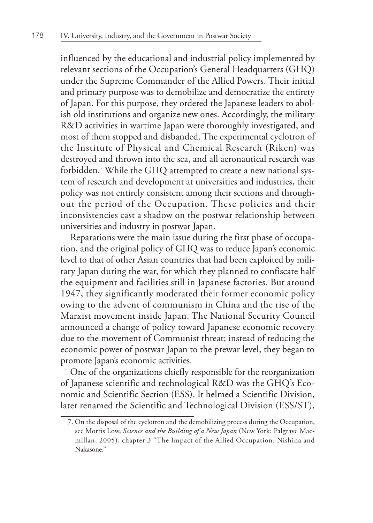influenced by the educational and industrial policy implemented by relevant sections of the Occupation's General Headquarters (GHQ) under the Supreme Commander of the Allied Powers. Their initial and primary purpose was to demobilize and democratize the entirety of Japan. For this purpose, they ordered the Japanese leaders to abolish old institutions and organize new ones. Accordingly, the military R&D activities in wartime Japan were thoroughly investigated, and most of them stopped and disbanded. The experimental cyclotron of the Institute of Physical and Chemical Research (Riken) was destroyed and thrown into the sea, and all aeronautical research was forbidden.**<sup>7</sup>** While the GHQ attempted to create a new national system of research and development at universities and industries, their policy was not entirely consistent among their sections and throughout the period of the Occupation. These policies and their inconsistencies cast a shadow on the postwar relationship between universities and industry in postwar Japan.

Reparations were the main issue during the first phase of occupation, and the original policy of GHQ was to reduce Japan's economic level to that of other Asian countries that had been exploited by military Japan during the war, for which they planned to confiscate half the equipment and facilities still in Japanese factories. But around 1947, they significantly moderated their former economic policy owing to the advent of communism in China and the rise of the Marxist movement inside Japan. The National Security Council announced a change of policy toward Japanese economic recovery due to the movement of Communist threat; instead of reducing the economic power of postwar Japan to the prewar level, they began to promote Japan's economic activities.

One of the organizations chiefly responsible for the reorganization of Japanese scientific and technological R&D was the GHQ's Economic and Scientific Section (ESS). It helmed a Scientific Division, later renamed the Scientific and Technological Division (ESS/ST),

<sup>7.</sup> On the disposal of the cyclotron and the demobilizing process during the Occupation, see Morris Low, *Science and the Building of a New Japan* (New York: Palgrave Macmillan, 2005), chapter 3 "The Impact of the Allied Occupation: Nishina and Nakasone."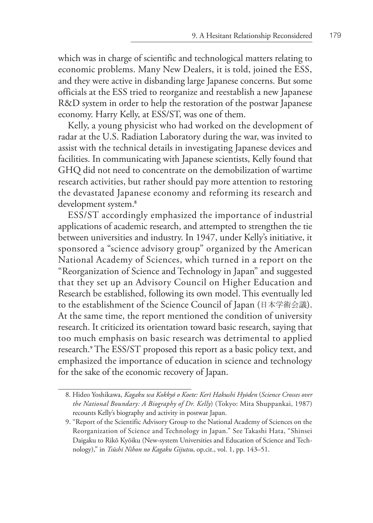which was in charge of scientific and technological matters relating to economic problems. Many New Dealers, it is told, joined the ESS, and they were active in disbanding large Japanese concerns. But some officials at the ESS tried to reorganize and reestablish a new Japanese R&D system in order to help the restoration of the postwar Japanese economy. Harry Kelly, at ESS/ST, was one of them.

Kelly, a young physicist who had worked on the development of radar at the U.S. Radiation Laboratory during the war, was invited to assist with the technical details in investigating Japanese devices and facilities. In communicating with Japanese scientists, Kelly found that GHQ did not need to concentrate on the demobilization of wartime research activities, but rather should pay more attention to restoring the devastated Japanese economy and reforming its research and development system.**<sup>8</sup>**

ESS/ST accordingly emphasized the importance of industrial applications of academic research, and attempted to strengthen the tie between universities and industry. In 1947, under Kelly's initiative, it sponsored a "science advisory group" organized by the American National Academy of Sciences, which turned in a report on the "Reorganization of Science and Technology in Japan" and suggested that they set up an Advisory Council on Higher Education and Research be established, following its own model. This eventually led to the establishment of the Science Council of Japan (日本学術会議). At the same time, the report mentioned the condition of university research. It criticized its orientation toward basic research, saying that too much emphasis on basic research was detrimental to applied research.**<sup>9</sup>** The ESS/ST proposed this report as a basic policy text, and emphasized the importance of education in science and technology for the sake of the economic recovery of Japan.

<sup>8.</sup> Hideo Yoshikawa, *Kagaku wa Kokkyō o Koete: Kerī Hakushi Hyōden* (*Science Crosses over the National Boundary: A Biography of Dr. Kelly*) (Tokyo: Mita Shuppankai, 1987) recounts Kelly's biography and activity in postwar Japan.

<sup>9. &</sup>quot;Report of the Scientific Advisory Group to the National Academy of Sciences on the Reorganization of Science and Technology in Japan." See Takashi Hata, "Shinsei Daigaku to Rikō Kyōiku (New-system Universities and Education of Science and Technology)," in *Tsūshi Nihon no Kagaku Gijutsu*, op.cit., vol. 1, pp. 143–51.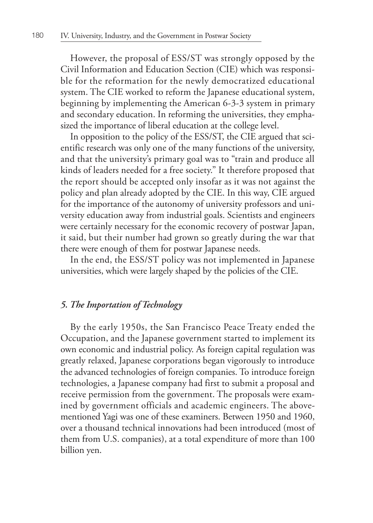However, the proposal of ESS/ST was strongly opposed by the Civil Information and Education Section (CIE) which was responsible for the reformation for the newly democratized educational system. The CIE worked to reform the Japanese educational system, beginning by implementing the American 6-3-3 system in primary and secondary education. In reforming the universities, they emphasized the importance of liberal education at the college level.

In opposition to the policy of the ESS/ST, the CIE argued that scientific research was only one of the many functions of the university, and that the university's primary goal was to "train and produce all kinds of leaders needed for a free society." It therefore proposed that the report should be accepted only insofar as it was not against the policy and plan already adopted by the CIE. In this way, CIE argued for the importance of the autonomy of university professors and university education away from industrial goals. Scientists and engineers were certainly necessary for the economic recovery of postwar Japan, it said, but their number had grown so greatly during the war that there were enough of them for postwar Japanese needs.

In the end, the ESS/ST policy was not implemented in Japanese universities, which were largely shaped by the policies of the CIE.

# *5. The Importation of Technology*

By the early 1950s, the San Francisco Peace Treaty ended the Occupation, and the Japanese government started to implement its own economic and industrial policy. As foreign capital regulation was greatly relaxed, Japanese corporations began vigorously to introduce the advanced technologies of foreign companies. To introduce foreign technologies, a Japanese company had first to submit a proposal and receive permission from the government. The proposals were examined by government officials and academic engineers. The abovementioned Yagi was one of these examiners. Between 1950 and 1960, over a thousand technical innovations had been introduced (most of them from U.S. companies), at a total expenditure of more than 100 billion yen.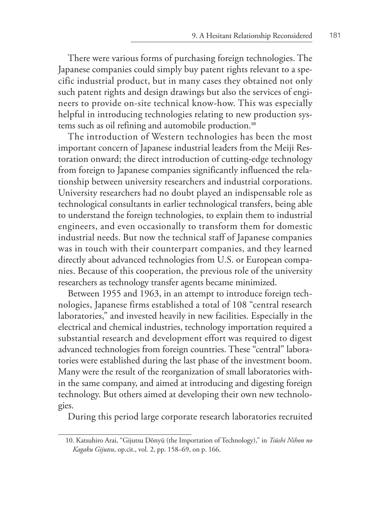There were various forms of purchasing foreign technologies. The Japanese companies could simply buy patent rights relevant to a specific industrial product, but in many cases they obtained not only such patent rights and design drawings but also the services of engineers to provide on-site technical know-how. This was especially helpful in introducing technologies relating to new production systems such as oil refining and automobile production.**<sup>10</sup>**

The introduction of Western technologies has been the most important concern of Japanese industrial leaders from the Meiji Restoration onward; the direct introduction of cutting-edge technology from foreign to Japanese companies significantly influenced the relationship between university researchers and industrial corporations. University researchers had no doubt played an indispensable role as technological consultants in earlier technological transfers, being able to understand the foreign technologies, to explain them to industrial engineers, and even occasionally to transform them for domestic industrial needs. But now the technical staff of Japanese companies was in touch with their counterpart companies, and they learned directly about advanced technologies from U.S. or European companies. Because of this cooperation, the previous role of the university researchers as technology transfer agents became minimized.

Between 1955 and 1963, in an attempt to introduce foreign technologies, Japanese firms established a total of 108 "central research laboratories," and invested heavily in new facilities. Especially in the electrical and chemical industries, technology importation required a substantial research and development effort was required to digest advanced technologies from foreign countries. These "central" laboratories were established during the last phase of the investment boom. Many were the result of the reorganization of small laboratories within the same company, and aimed at introducing and digesting foreign technology. But others aimed at developing their own new technologies.

During this period large corporate research laboratories recruited

<sup>10.</sup> Katsuhiro Arai, "Gijutsu Dōnyū (the Importation of Technology)," in *Tsūshi Nihon no Kagaku Gijutsu*, op.cit., vol. 2, pp. 158–69, on p. 166.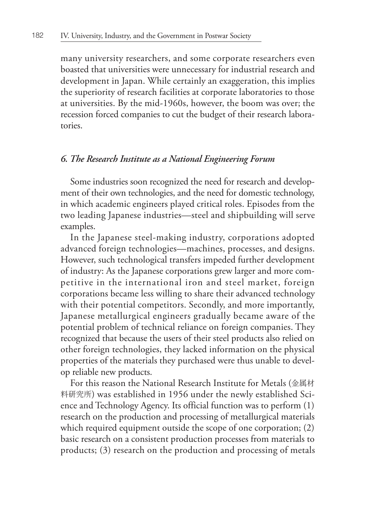many university researchers, and some corporate researchers even boasted that universities were unnecessary for industrial research and development in Japan. While certainly an exaggeration, this implies the superiority of research facilities at corporate laboratories to those at universities. By the mid-1960s, however, the boom was over; the recession forced companies to cut the budget of their research laboratories.

## *6. The Research Institute as a National Engineering Forum*

Some industries soon recognized the need for research and development of their own technologies, and the need for domestic technology, in which academic engineers played critical roles. Episodes from the two leading Japanese industries—steel and shipbuilding will serve examples.

In the Japanese steel-making industry, corporations adopted advanced foreign technologies—machines, processes, and designs. However, such technological transfers impeded further development of industry: As the Japanese corporations grew larger and more competitive in the international iron and steel market, foreign corporations became less willing to share their advanced technology with their potential competitors. Secondly, and more importantly, Japanese metallurgical engineers gradually became aware of the potential problem of technical reliance on foreign companies. They recognized that because the users of their steel products also relied on other foreign technologies, they lacked information on the physical properties of the materials they purchased were thus unable to develop reliable new products.

For this reason the National Research Institute for Metals (金属材 料研究所) was established in 1956 under the newly established Science and Technology Agency. Its official function was to perform (1) research on the production and processing of metallurgical materials which required equipment outside the scope of one corporation; (2) basic research on a consistent production processes from materials to products; (3) research on the production and processing of metals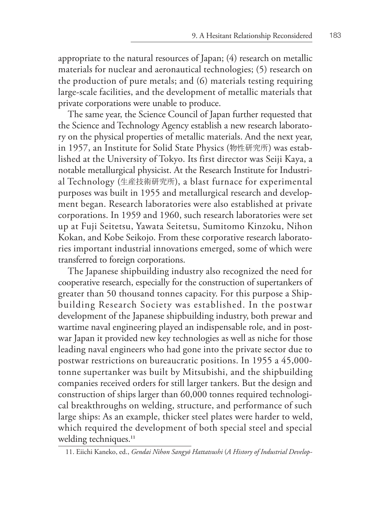appropriate to the natural resources of Japan; (4) research on metallic materials for nuclear and aeronautical technologies; (5) research on the production of pure metals; and (6) materials testing requiring large-scale facilities, and the development of metallic materials that private corporations were unable to produce.

The same year, the Science Council of Japan further requested that the Science and Technology Agency establish a new research laboratory on the physical properties of metallic materials. And the next year, in 1957, an Institute for Solid State Physics (物性研究所) was established at the University of Tokyo. Its first director was Seiji Kaya, a notable metallurgical physicist. At the Research Institute for Industrial Technology (生産技術研究所), a blast furnace for experimental purposes was built in 1955 and metallurgical research and development began. Research laboratories were also established at private corporations. In 1959 and 1960, such research laboratories were set up at Fuji Seitetsu, Yawata Seitetsu, Sumitomo Kinzoku, Nihon Kokan, and Kobe Seikojo. From these corporative research laboratories important industrial innovations emerged, some of which were transferred to foreign corporations.

The Japanese shipbuilding industry also recognized the need for cooperative research, especially for the construction of supertankers of greater than 50 thousand tonnes capacity. For this purpose a Shipbuilding Research Society was established. In the postwar development of the Japanese shipbuilding industry, both prewar and wartime naval engineering played an indispensable role, and in postwar Japan it provided new key technologies as well as niche for those leading naval engineers who had gone into the private sector due to postwar restrictions on bureaucratic positions. In 1955 a 45,000 tonne supertanker was built by Mitsubishi, and the shipbuilding companies received orders for still larger tankers. But the design and construction of ships larger than 60,000 tonnes required technological breakthroughs on welding, structure, and performance of such large ships: As an example, thicker steel plates were harder to weld, which required the development of both special steel and special welding techniques.**<sup>11</sup>**

<sup>11.</sup> Eiichi Kaneko, ed., *Gendai Nihon Sangyō Hattatsushi* (*A History of Industrial Develop-*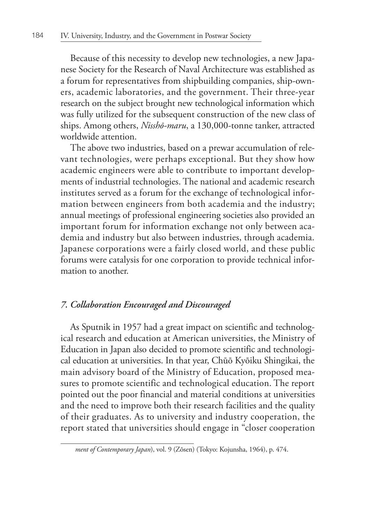Because of this necessity to develop new technologies, a new Japanese Society for the Research of Naval Architecture was established as a forum for representatives from shipbuilding companies, ship-owners, academic laboratories, and the government. Their three-year research on the subject brought new technological information which was fully utilized for the subsequent construction of the new class of ships. Among others, *Nisshō-maru*, a 130,000-tonne tanker, attracted worldwide attention.

The above two industries, based on a prewar accumulation of relevant technologies, were perhaps exceptional. But they show how academic engineers were able to contribute to important developments of industrial technologies. The national and academic research institutes served as a forum for the exchange of technological information between engineers from both academia and the industry; annual meetings of professional engineering societies also provided an important forum for information exchange not only between academia and industry but also between industries, through academia. Japanese corporations were a fairly closed world, and these public forums were catalysis for one corporation to provide technical information to another.

### *7. Collaboration Encouraged and Discouraged*

As Sputnik in 1957 had a great impact on scientific and technological research and education at American universities, the Ministry of Education in Japan also decided to promote scientific and technological education at universities. In that year, Chūō Kyōiku Shingikai, the main advisory board of the Ministry of Education, proposed measures to promote scientific and technological education. The report pointed out the poor financial and material conditions at universities and the need to improve both their research facilities and the quality of their graduates. As to university and industry cooperation, the report stated that universities should engage in "closer cooperation

*ment of Contemporary Japan*), vol. 9 (Zōsen) (Tokyo: Kojunsha, 1964), p. 474.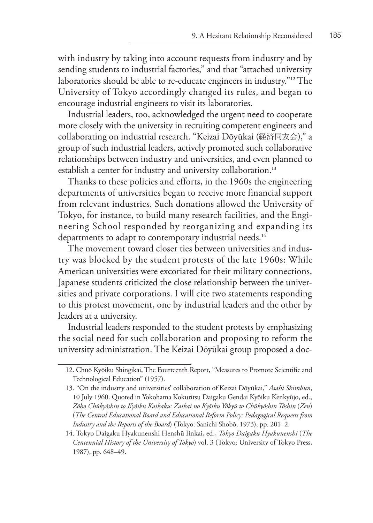with industry by taking into account requests from industry and by sending students to industrial factories," and that "attached university laboratories should be able to re-educate engineers in industry."**12** The University of Tokyo accordingly changed its rules, and began to encourage industrial engineers to visit its laboratories.

Industrial leaders, too, acknowledged the urgent need to cooperate more closely with the university in recruiting competent engineers and collaborating on industrial research. "Keizai Dōyūkai (経済同友会)," a group of such industrial leaders, actively promoted such collaborative relationships between industry and universities, and even planned to establish a center for industry and university collaboration.**<sup>13</sup>**

Thanks to these policies and efforts, in the 1960s the engineering departments of universities began to receive more financial support from relevant industries. Such donations allowed the University of Tokyo, for instance, to build many research facilities, and the Engineering School responded by reorganizing and expanding its departments to adapt to contemporary industrial needs.**<sup>14</sup>**

The movement toward closer ties between universities and industry was blocked by the student protests of the late 1960s: While American universities were excoriated for their military connections, Japanese students criticized the close relationship between the universities and private corporations. I will cite two statements responding to this protest movement, one by industrial leaders and the other by leaders at a university.

Industrial leaders responded to the student protests by emphasizing the social need for such collaboration and proposing to reform the university administration. The Keizai Dōyūkai group proposed a doc-

<sup>12.</sup> Chūō Kyōiku Shingikai, The Fourteenth Report, "Measures to Promote Scientific and Technological Education" (1957).

<sup>13. &</sup>quot;On the industry and universities' collaboration of Keizai Dōyūkai," *Asahi Shimbun*, 10 July 1960. Quoted in Yokohama Kokuritsu Daigaku Gendai Kyōiku Kenkyūjo, ed., *Zōho Chūkyōshin to Kyōiku Kaikaku: Zaikai no Kyōiku Yōkyū to Chūkyōshin Tōshin* (*Zen*) (*The Central Educational Board and Educational Reform Policy: Pedagogical Requests from Industry and the Reports of the Board*) (Tokyo: Sanichi Shobō, 1973), pp. 201–2.

<sup>14.</sup> Tokyo Daigaku Hyakunenshi Henshū Iinkai, ed., *Tokyo Daigaku Hyakunenshi* (*The Centennial History of the University of Tokyo*) vol. 3 (Tokyo: University of Tokyo Press, 1987), pp. 648–49.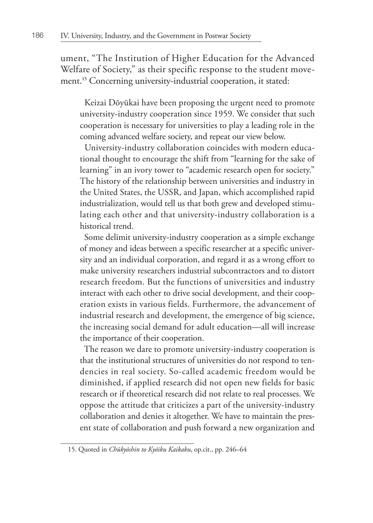ument, "The Institution of Higher Education for the Advanced Welfare of Society," as their specific response to the student movement.<sup>15</sup> Concerning university-industrial cooperation, it stated:

 Keizai Dōyūkai have been proposing the urgent need to promote university-industry cooperation since 1959. We consider that such cooperation is necessary for universities to play a leading role in the coming advanced welfare society, and repeat our view below.

 University-industry collaboration coincides with modern educational thought to encourage the shift from "learning for the sake of learning" in an ivory tower to "academic research open for society." The history of the relationship between universities and industry in the United States, the USSR, and Japan, which accomplished rapid industrialization, would tell us that both grew and developed stimulating each other and that university-industry collaboration is a historical trend.

 Some delimit university-industry cooperation as a simple exchange of money and ideas between a specific researcher at a specific university and an individual corporation, and regard it as a wrong effort to make university researchers industrial subcontractors and to distort research freedom. But the functions of universities and industry interact with each other to drive social development, and their cooperation exists in various fields. Furthermore, the advancement of industrial research and development, the emergence of big science, the increasing social demand for adult education—all will increase the importance of their cooperation.

 The reason we dare to promote university-industry cooperation is that the institutional structures of universities do not respond to tendencies in real society. So-called academic freedom would be diminished, if applied research did not open new fields for basic research or if theoretical research did not relate to real processes. We oppose the attitude that criticizes a part of the university-industry collaboration and denies it altogether. We have to maintain the present state of collaboration and push forward a new organization and

<sup>15.</sup> Quoted in *Chūkyōshin to Kyōiku Kaikaku*, op.cit., pp. 246–64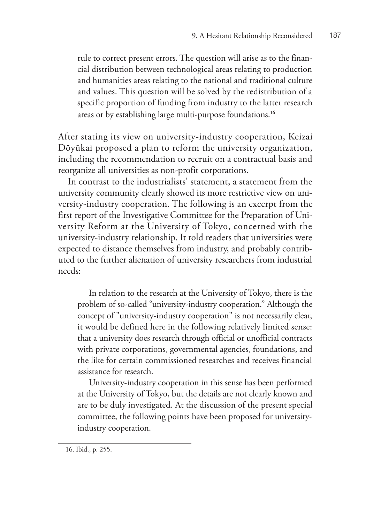rule to correct present errors. The question will arise as to the financial distribution between technological areas relating to production and humanities areas relating to the national and traditional culture and values. This question will be solved by the redistribution of a specific proportion of funding from industry to the latter research areas or by establishing large multi-purpose foundations.**<sup>16</sup>**

After stating its view on university-industry cooperation, Keizai Dōyūkai proposed a plan to reform the university organization, including the recommendation to recruit on a contractual basis and reorganize all universities as non-profit corporations.

In contrast to the industrialists' statement, a statement from the university community clearly showed its more restrictive view on university-industry cooperation. The following is an excerpt from the first report of the Investigative Committee for the Preparation of University Reform at the University of Tokyo, concerned with the university-industry relationship. It told readers that universities were expected to distance themselves from industry, and probably contributed to the further alienation of university researchers from industrial needs:

In relation to the research at the University of Tokyo, there is the problem of so-called "university-industry cooperation." Although the concept of "university-industry cooperation" is not necessarily clear, it would be defined here in the following relatively limited sense: that a university does research through official or unofficial contracts with private corporations, governmental agencies, foundations, and the like for certain commissioned researches and receives financial assistance for research.

University-industry cooperation in this sense has been performed at the University of Tokyo, but the details are not clearly known and are to be duly investigated. At the discussion of the present special committee, the following points have been proposed for universityindustry cooperation.

<sup>16.</sup> Ibid., p. 255.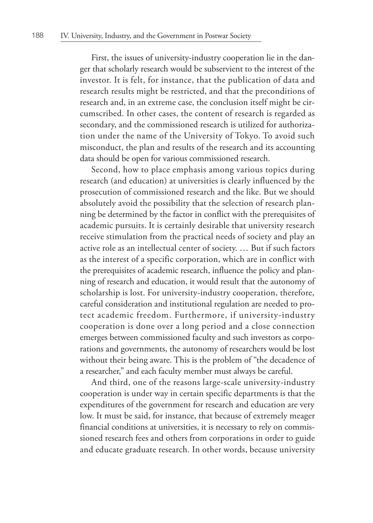First, the issues of university-industry cooperation lie in the danger that scholarly research would be subservient to the interest of the investor. It is felt, for instance, that the publication of data and research results might be restricted, and that the preconditions of research and, in an extreme case, the conclusion itself might be circumscribed. In other cases, the content of research is regarded as secondary, and the commissioned research is utilized for authorization under the name of the University of Tokyo. To avoid such misconduct, the plan and results of the research and its accounting data should be open for various commissioned research.

Second, how to place emphasis among various topics during research (and education) at universities is clearly influenced by the prosecution of commissioned research and the like. But we should absolutely avoid the possibility that the selection of research planning be determined by the factor in conflict with the prerequisites of academic pursuits. It is certainly desirable that university research receive stimulation from the practical needs of society and play an active role as an intellectual center of society. … But if such factors as the interest of a specific corporation, which are in conflict with the prerequisites of academic research, influence the policy and planning of research and education, it would result that the autonomy of scholarship is lost. For university-industry cooperation, therefore, careful consideration and institutional regulation are needed to protect academic freedom. Furthermore, if university-industry cooperation is done over a long period and a close connection emerges between commissioned faculty and such investors as corporations and governments, the autonomy of researchers would be lost without their being aware. This is the problem of "the decadence of a researcher," and each faculty member must always be careful.

And third, one of the reasons large-scale university-industry cooperation is under way in certain specific departments is that the expenditures of the government for research and education are very low. It must be said, for instance, that because of extremely meager financial conditions at universities, it is necessary to rely on commissioned research fees and others from corporations in order to guide and educate graduate research. In other words, because university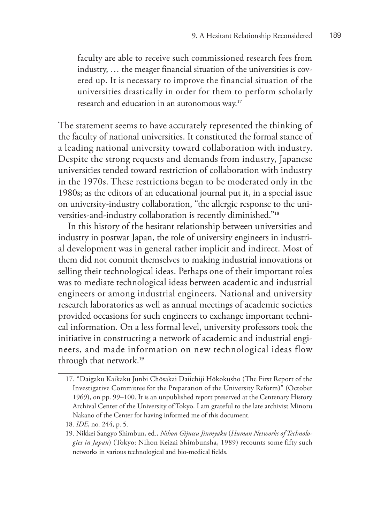faculty are able to receive such commissioned research fees from industry, … the meager financial situation of the universities is covered up. It is necessary to improve the financial situation of the universities drastically in order for them to perform scholarly research and education in an autonomous way.**<sup>17</sup>**

The statement seems to have accurately represented the thinking of the faculty of national universities. It constituted the formal stance of a leading national university toward collaboration with industry. Despite the strong requests and demands from industry, Japanese universities tended toward restriction of collaboration with industry in the 1970s. These restrictions began to be moderated only in the 1980s; as the editors of an educational journal put it, in a special issue on university-industry collaboration, "the allergic response to the universities-and-industry collaboration is recently diminished."**<sup>18</sup>**

In this history of the hesitant relationship between universities and industry in postwar Japan, the role of university engineers in industrial development was in general rather implicit and indirect. Most of them did not commit themselves to making industrial innovations or selling their technological ideas. Perhaps one of their important roles was to mediate technological ideas between academic and industrial engineers or among industrial engineers. National and university research laboratories as well as annual meetings of academic societies provided occasions for such engineers to exchange important technical information. On a less formal level, university professors took the initiative in constructing a network of academic and industrial engineers, and made information on new technological ideas flow through that network.**<sup>19</sup>**

<sup>17. &</sup>quot;Daigaku Kaikaku Junbi Chōsakai Daiichiji Hōkokusho (The First Report of the Investigative Committee for the Preparation of the University Reform)" (October 1969), on pp. 99–100. It is an unpublished report preserved at the Centenary History Archival Center of the University of Tokyo. I am grateful to the late archivist Minoru Nakano of the Center for having informed me of this document.

<sup>18.</sup> *IDE*, no. 244, p. 5.

<sup>19.</sup> Nikkei Sangyo Shimbun, ed., *Nihon Gijutsu Jinmyaku* (*Human Networks of Technologies in Japan*) (Tokyo: Nihon Keizai Shimbunsha, 1989) recounts some fifty such networks in various technological and bio-medical fields.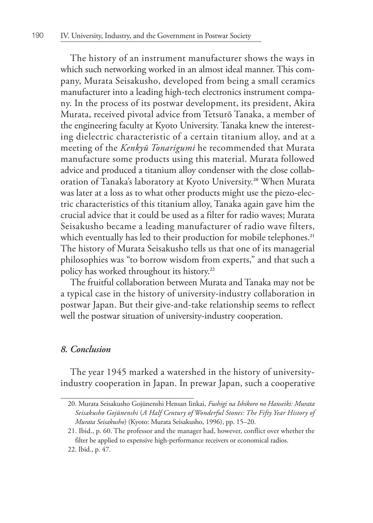The history of an instrument manufacturer shows the ways in which such networking worked in an almost ideal manner. This company, Murata Seisakusho, developed from being a small ceramics manufacturer into a leading high-tech electronics instrument company. In the process of its postwar development, its president, Akira Murata, received pivotal advice from Tetsurō Tanaka, a member of the engineering faculty at Kyoto University. Tanaka knew the interesting dielectric characteristic of a certain titanium alloy, and at a meeting of the *Kenkyū Tonarigumi* he recommended that Murata manufacture some products using this material. Murata followed advice and produced a titanium alloy condenser with the close collaboration of Tanaka's laboratory at Kyoto University.**20** When Murata was later at a loss as to what other products might use the piezo-electric characteristics of this titanium alloy, Tanaka again gave him the crucial advice that it could be used as a filter for radio waves; Murata Seisakusho became a leading manufacturer of radio wave filters, which eventually has led to their production for mobile telephones.<sup>21</sup> The history of Murata Seisakusho tells us that one of its managerial philosophies was "to borrow wisdom from experts," and that such a policy has worked throughout its history.**<sup>22</sup>**

The fruitful collaboration between Murata and Tanaka may not be a typical case in the history of university-industry collaboration in postwar Japan. But their give-and-take relationship seems to reflect well the postwar situation of university-industry cooperation.

#### *8. Conclusion*

The year 1945 marked a watershed in the history of universityindustry cooperation in Japan. In prewar Japan, such a cooperative

<sup>20.</sup> Murata Seisakusho Gojūnenshi Hensan Iinkai, *Fushigi na Ishikoro no Hanseiki: Murata Seisakusho Gojūnenshi* (*A Half Century of Wonderful Stones: The Fifty Year History of Murata Seisakusho*) (Kyoto: Murata Seisakusho, 1996), pp. 15–20.

<sup>21.</sup> Ibid., p. 60. The professor and the manager had, however, conflict over whether the filter be applied to expensive high-performance receivers or economical radios. 22. Ibid., p. 47.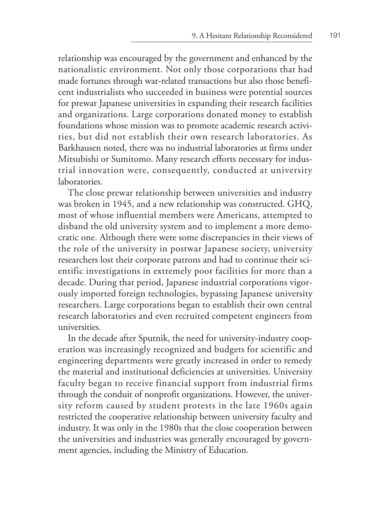relationship was encouraged by the government and enhanced by the nationalistic environment. Not only those corporations that had made fortunes through war-related transactions but also those beneficent industrialists who succeeded in business were potential sources for prewar Japanese universities in expanding their research facilities and organizations. Large corporations donated money to establish foundations whose mission was to promote academic research activities, but did not establish their own research laboratories. As Barkhausen noted, there was no industrial laboratories at firms under Mitsubishi or Sumitomo. Many research efforts necessary for industrial innovation were, consequently, conducted at university laboratories.

The close prewar relationship between universities and industry was broken in 1945, and a new relationship was constructed. GHQ, most of whose influential members were Americans, attempted to disband the old university system and to implement a more democratic one. Although there were some discrepancies in their views of the role of the university in postwar Japanese society, university researchers lost their corporate patrons and had to continue their scientific investigations in extremely poor facilities for more than a decade. During that period, Japanese industrial corporations vigorously imported foreign technologies, bypassing Japanese university researchers. Large corporations began to establish their own central research laboratories and even recruited competent engineers from universities.

In the decade after Sputnik, the need for university-industry cooperation was increasingly recognized and budgets for scientific and engineering departments were greatly increased in order to remedy the material and institutional deficiencies at universities. University faculty began to receive financial support from industrial firms through the conduit of nonprofit organizations. However, the university reform caused by student protests in the late 1960s again restricted the cooperative relationship between university faculty and industry. It was only in the 1980s that the close cooperation between the universities and industries was generally encouraged by government agencies, including the Ministry of Education.